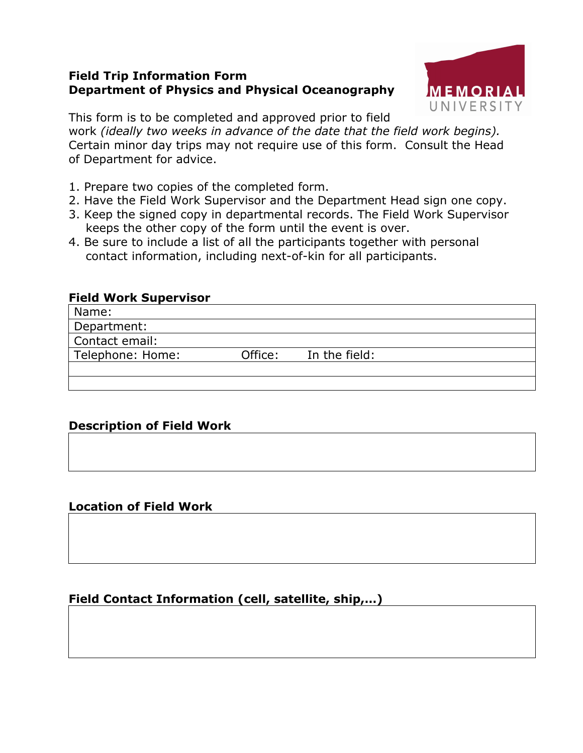### **Field Trip Information Form Department of Physics and Physical Oceanography**



This form is to be completed and approved prior to field work *(ideally two weeks in advance of the date that the field work begins).* Certain minor day trips may not require use of this form. Consult the Head of Department for advice.

- 1. Prepare two copies of the completed form.
- 2. Have the Field Work Supervisor and the Department Head sign one copy.
- 3. Keep the signed copy in departmental records. The Field Work Supervisor keeps the other copy of the form until the event is over.
- 4. Be sure to include a list of all the participants together with personal contact information, including next-of-kin for all participants.

### **Field Work Supervisor**

| Name:            |         |               |  |
|------------------|---------|---------------|--|
| Department:      |         |               |  |
| Contact email:   |         |               |  |
| Telephone: Home: | Office: | In the field: |  |
|                  |         |               |  |
|                  |         |               |  |

# **Description of Field Work**

### **Location of Field Work**

# **Field Contact Information (cell, satellite, ship,…)**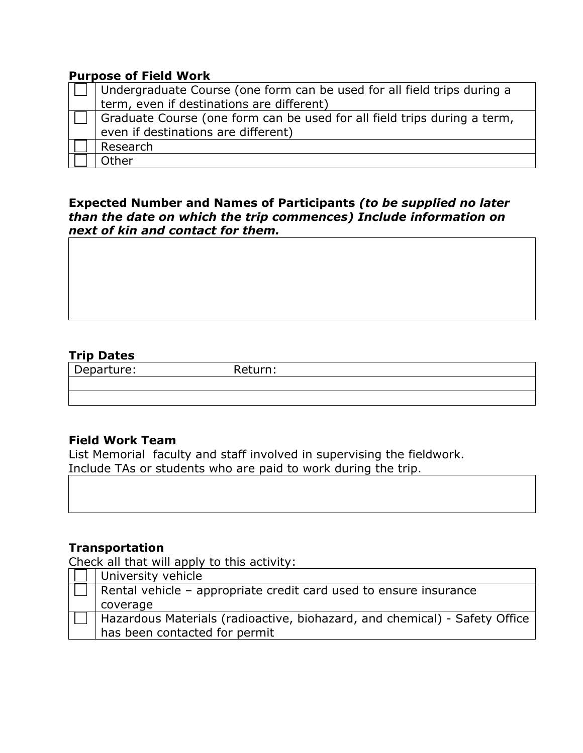#### **Purpose of Field Work**

| Undergraduate Course (one form can be used for all field trips during a<br>term, even if destinations are different) |  |
|----------------------------------------------------------------------------------------------------------------------|--|
| Graduate Course (one form can be used for all field trips during a term,                                             |  |
| even if destinations are different)                                                                                  |  |
| Research                                                                                                             |  |
| Other                                                                                                                |  |

**Expected Number and Names of Participants** *(to be supplied no later than the date on which the trip commences) Include information on next of kin and contact for them.*

### **Trip Dates**

Departure: Return:

### **Field Work Team**

List Memorial faculty and staff involved in supervising the fieldwork. Include TAs or students who are paid to work during the trip.

### **Transportation**

Check all that will apply to this activity:

| University vehicle                                                         |  |
|----------------------------------------------------------------------------|--|
| Rental vehicle - appropriate credit card used to ensure insurance          |  |
| coverage                                                                   |  |
| Hazardous Materials (radioactive, biohazard, and chemical) - Safety Office |  |
| has been contacted for permit                                              |  |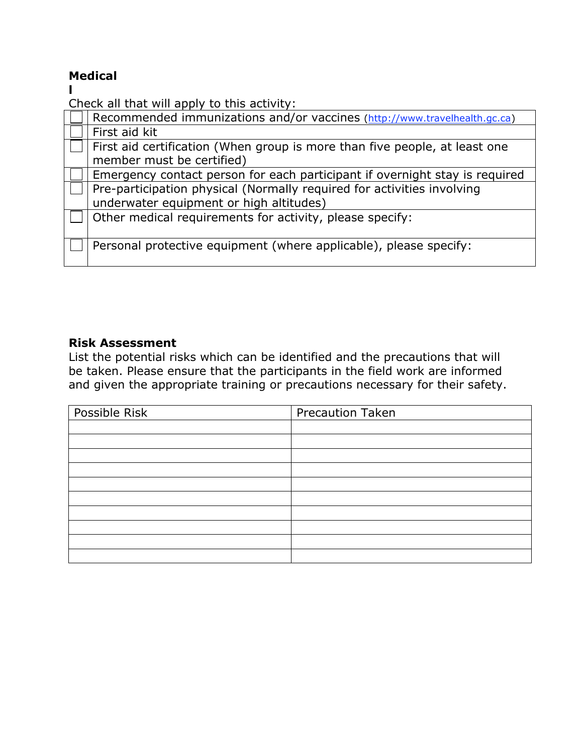# **Medical**

**l**

Check all that will apply to this activity:

| Recommended immunizations and/or vaccines (http://www.travelhealth.gc.ca)                                         |  |  |
|-------------------------------------------------------------------------------------------------------------------|--|--|
| First aid kit                                                                                                     |  |  |
| First aid certification (When group is more than five people, at least one<br>member must be certified)           |  |  |
| Emergency contact person for each participant if overnight stay is required                                       |  |  |
| Pre-participation physical (Normally required for activities involving<br>underwater equipment or high altitudes) |  |  |
| Other medical requirements for activity, please specify:                                                          |  |  |
| Personal protective equipment (where applicable), please specify:                                                 |  |  |

#### **Risk Assessment**

List the potential risks which can be identified and the precautions that will be taken. Please ensure that the participants in the field work are informed and given the appropriate training or precautions necessary for their safety.

| Possible Risk | <b>Precaution Taken</b> |
|---------------|-------------------------|
|               |                         |
|               |                         |
|               |                         |
|               |                         |
|               |                         |
|               |                         |
|               |                         |
|               |                         |
|               |                         |
|               |                         |